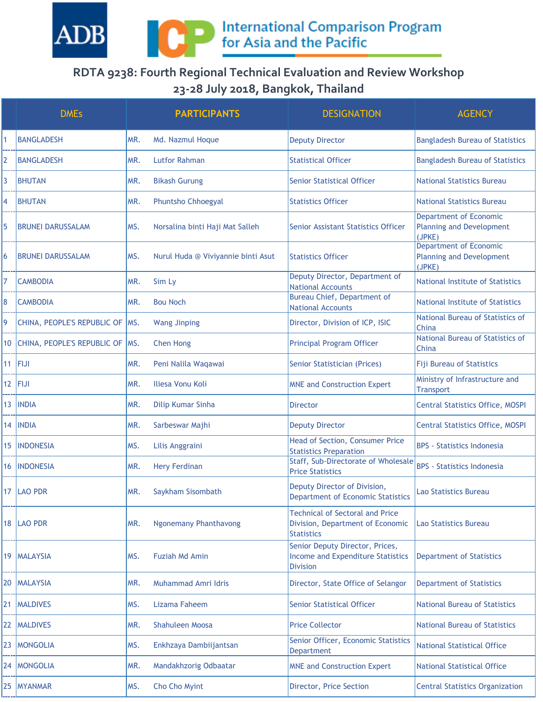

## **RDTA 9238: Fourth Regional Technical Evaluation and Review Workshop 23-28 July 2018, Bangkok, Thailand**

|                 | <b>DMEs</b>                       |     | <b>PARTICIPANTS</b>                | <b>DESIGNATION</b>                                                                              | <b>AGENCY</b>                                                              |
|-----------------|-----------------------------------|-----|------------------------------------|-------------------------------------------------------------------------------------------------|----------------------------------------------------------------------------|
|                 | <b>BANGLADESH</b>                 | MR. | Md. Nazmul Hoque                   | <b>Deputy Director</b>                                                                          | <b>Bangladesh Bureau of Statistics</b>                                     |
| 2               | <b>BANGLADESH</b>                 | MR. | <b>Lutfor Rahman</b>               | <b>Statistical Officer</b>                                                                      | <b>Bangladesh Bureau of Statistics</b>                                     |
| 3               | <b>BHUTAN</b>                     | MR. | <b>Bikash Gurung</b>               | <b>Senior Statistical Officer</b>                                                               | <b>National Statistics Bureau</b>                                          |
| 4               | <b>BHUTAN</b>                     | MR. | Phuntsho Chhoegyal                 | <b>Statistics Officer</b>                                                                       | National Statistics Bureau                                                 |
| 5               | <b>BRUNEI DARUSSALAM</b>          | MS. | Norsalina binti Haji Mat Salleh    | Senior Assistant Statistics Officer                                                             | <b>Department of Economic</b><br><b>Planning and Development</b><br>(JPKE) |
| 6               | <b>BRUNEI DARUSSALAM</b>          | MS. | Nurul Huda @ Viviyannie binti Asut | <b>Statistics Officer</b>                                                                       | <b>Department of Economic</b><br><b>Planning and Development</b><br>(JPKE) |
| 7               | <b>CAMBODIA</b>                   | MR. | Sim Ly                             | Deputy Director, Department of<br><b>National Accounts</b>                                      | National Institute of Statistics                                           |
| 8               | <b>CAMBODIA</b>                   | MR. | <b>Bou Noch</b>                    | Bureau Chief, Department of<br><b>National Accounts</b>                                         | <b>National Institute of Statistics</b>                                    |
| 9               | CHINA, PEOPLE'S REPUBLIC OF   MS. |     | <b>Wang Jinping</b>                | Director, Division of ICP, ISIC                                                                 | National Bureau of Statistics of<br>China                                  |
| 10 <sup>°</sup> | CHINA, PEOPLE'S REPUBLIC OF   MS. |     | <b>Chen Hong</b>                   | <b>Principal Program Officer</b>                                                                | National Bureau of Statistics of<br>China                                  |
|                 | $11$ FIJI                         | MR. | Peni Nalila Waqawai                | Senior Statistician (Prices)                                                                    | <b>Fiji Bureau of Statistics</b>                                           |
| 12 <sub>2</sub> | <b>FIJI</b>                       | MR. | Iliesa Vonu Koli                   | <b>MNE and Construction Expert</b>                                                              | Ministry of Infrastructure and<br><b>Transport</b>                         |
| 13              | <b>INDIA</b>                      | MR. | Dilip Kumar Sinha                  | <b>Director</b>                                                                                 | <b>Central Statistics Office, MOSPI</b>                                    |
| 14              | <b>INDIA</b>                      | MR. | Sarbeswar Majhi                    | <b>Deputy Director</b>                                                                          | <b>Central Statistics Office, MOSPI</b>                                    |
| 15              | <b>INDONESIA</b>                  | MS. | Lilis Anggraini                    | Head of Section, Consumer Price<br><b>Statistics Preparation</b>                                | <b>BPS</b> - Statistics Indonesia                                          |
| 16              | <b>INDONESIA</b>                  | MR. | <b>Hery Ferdinan</b>               | Staff, Sub-Directorate of Wholesale<br><b>Price Statistics</b>                                  | <b>BPS</b> - Statistics Indonesia                                          |
|                 | 17   LAO PDR                      | MR. | Saykham Sisombath                  | Deputy Director of Division,<br><b>Department of Economic Statistics</b>                        | Lao Statistics Bureau                                                      |
|                 | 18   LAO PDR                      | MR. | <b>Ngonemany Phanthavong</b>       | <b>Technical of Sectoral and Price</b><br>Division, Department of Economic<br><b>Statistics</b> | <b>Lao Statistics Bureau</b>                                               |
|                 | 19   MALAYSIA                     | MS. | Fuziah Md Amin                     | Senior Deputy Director, Prices,<br><b>Income and Expenditure Statistics</b><br><b>Division</b>  | <b>Department of Statistics</b>                                            |
| 20              | <b>MALAYSIA</b>                   | MR. | Muhammad Amri Idris                | Director, State Office of Selangor                                                              | <b>Department of Statistics</b>                                            |
| 21              | <b>MALDIVES</b>                   | MS. | Lizama Faheem                      | <b>Senior Statistical Officer</b>                                                               | <b>National Bureau of Statistics</b>                                       |
| 22              | <b>MALDIVES</b>                   | MR. | <b>Shahuleen Moosa</b>             | <b>Price Collector</b>                                                                          | <b>National Bureau of Statistics</b>                                       |
| 23              | <b>MONGOLIA</b>                   | MS. | Enkhzaya Dambiijantsan             | Senior Officer, Economic Statistics<br><b>Department</b>                                        | <b>National Statistical Office</b>                                         |
|                 | 24   MONGOLIA                     | MR. | Mandakhzorig Odbaatar              | <b>MNE and Construction Expert</b>                                                              | <b>National Statistical Office</b>                                         |
| 25              | <b>MYANMAR</b>                    | MS. | Cho Cho Myint                      | Director, Price Section                                                                         | <b>Central Statistics Organization</b>                                     |